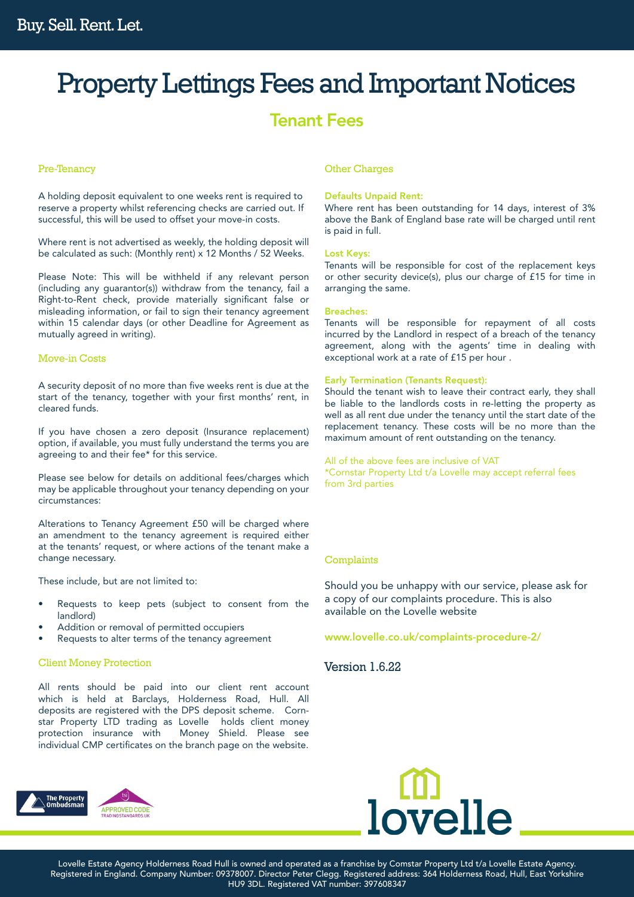## Property Lettings Fees and Important Notices

### Tenant Fees

#### Pre-Tenancy

A holding deposit equivalent to one weeks rent is required to reserve a property whilst referencing checks are carried out. If successful, this will be used to offset your move-in costs.

Where rent is not advertised as weekly, the holding deposit will be calculated as such: (Monthly rent) x 12 Months / 52 Weeks.

Please Note: This will be withheld if any relevant person (including any guarantor(s)) withdraw from the tenancy, fail a Right-to-Rent check, provide materially significant false or misleading information, or fail to sign their tenancy agreement within 15 calendar days (or other Deadline for Agreement as mutually agreed in writing).

#### Move-in Costs

A security deposit of no more than five weeks rent is due at the start of the tenancy, together with your first months' rent, in cleared funds.

If you have chosen a zero deposit (Insurance replacement) option, if available, you must fully understand the terms you are agreeing to and their fee\* for this service.

Please see below for details on additional fees/charges which may be applicable throughout your tenancy depending on your circumstances:

Alterations to Tenancy Agreement £50 will be charged where an amendment to the tenancy agreement is required either at the tenants' request, or where actions of the tenant make a change necessary.

These include, but are not limited to:

- Requests to keep pets (subject to consent from the landlord)
- Addition or removal of permitted occupiers
- Requests to alter terms of the tenancy agreement

#### Client Money Protection

All rents should be paid into our client rent account which is held at Barclays, Holderness Road, Hull. All deposits are registered with the DPS deposit scheme. Cornstar Property LTD trading as Lovelle holds client money protection insurance with Money Shield. Please see individual CMP certificates on the branch page on the website.



#### Other Charges

#### Defaults Unpaid Rent:

Where rent has been outstanding for 14 days, interest of 3% above the Bank of England base rate will be charged until rent is paid in full.

#### Lost Keys:

Tenants will be responsible for cost of the replacement keys or other security device(s), plus our charge of £15 for time in arranging the same.

#### Breaches:

Tenants will be responsible for repayment of all costs incurred by the Landlord in respect of a breach of the tenancy agreement, along with the agents' time in dealing with exceptional work at a rate of £15 per hour .

#### Early Termination (Tenants Request):

Should the tenant wish to leave their contract early, they shall be liable to the landlords costs in re-letting the property as well as all rent due under the tenancy until the start date of the replacement tenancy. These costs will be no more than the maximum amount of rent outstanding on the tenancy.

All of the above fees are inclusive of VAT \*Cornstar Property Ltd t/a Lovelle may accept referral fees from 3rd parties

#### **Complaints**

Should you be unhappy with our service, please ask for a copy of our complaints procedure. This is also available on the Lovelle website

www.lovelle.co.uk/complaints-procedure-2/

#### Version 1.6.22